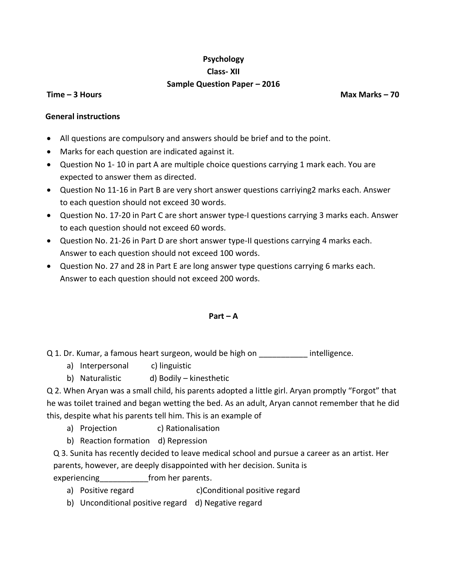# **Psychology Class- XII Sample Question Paper – 2016**

**Time – 3 Hours Allen Max Marks 20 Allen Max Marks <b>– 70** 

### **General instructions**

- All questions are compulsory and answers should be brief and to the point.
- Marks for each question are indicated against it.
- Question No 1- 10 in part A are multiple choice questions carrying 1 mark each. You are expected to answer them as directed.
- Question No 11-16 in Part B are very short answer questions carriying2 marks each. Answer to each question should not exceed 30 words.
- Question No. 17-20 in Part C are short answer type-I questions carrying 3 marks each. Answer to each question should not exceed 60 words.
- Question No. 21-26 in Part D are short answer type-II questions carrying 4 marks each. Answer to each question should not exceed 100 words.
- Question No. 27 and 28 in Part E are long answer type questions carrying 6 marks each. Answer to each question should not exceed 200 words.

### $Part - A$

- Q 1. Dr. Kumar, a famous heart surgeon, would be high on \_\_\_\_\_\_\_\_\_\_\_\_ intelligence.
	- a) Interpersonal c) linguistic
	- b) Naturalistic d) Bodily kinesthetic

Q 2. When Aryan was a small child, his parents adopted a little girl. Aryan promptly "Forgot" that he was toilet trained and began wetting the bed. As an adult, Aryan cannot remember that he did this, despite what his parents tell him. This is an example of

- a) Projection (c) Rationalisation
- b) Reaction formation d) Repression

Q 3. Sunita has recently decided to leave medical school and pursue a career as an artist. Her parents, however, are deeply disappointed with her decision. Sunita is

experiencing experiencing trom her parents.

- a) Positive regard c)Conditional positive regard
- b) Unconditional positive regard d) Negative regard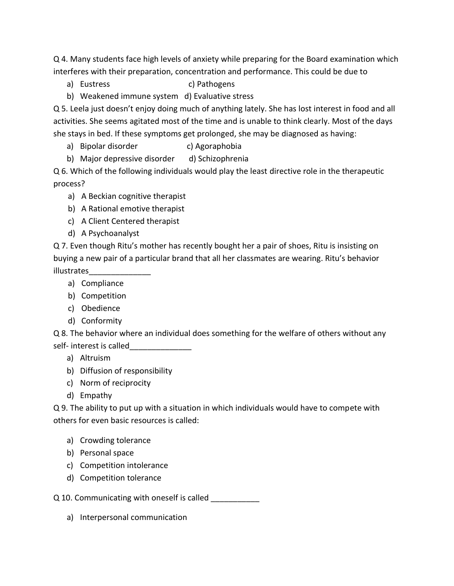Q 4. Many students face high levels of anxiety while preparing for the Board examination which interferes with their preparation, concentration and performance. This could be due to

- a) Eustress c) Pathogens
- b) Weakened immune system d) Evaluative stress

Q 5. Leela just doesn't enjoy doing much of anything lately. She has lost interest in food and all activities. She seems agitated most of the time and is unable to think clearly. Most of the days she stays in bed. If these symptoms get prolonged, she may be diagnosed as having:

- a) Bipolar disorder c) Agoraphobia
- b) Major depressive disorder d) Schizophrenia

Q 6. Which of the following individuals would play the least directive role in the therapeutic process?

- a) A Beckian cognitive therapist
- b) A Rational emotive therapist
- c) A Client Centered therapist
- d) A Psychoanalyst

Q 7. Even though Ritu's mother has recently bought her a pair of shoes, Ritu is insisting on buying a new pair of a particular brand that all her classmates are wearing. Ritu's behavior illustrates\_\_\_\_\_\_\_\_\_\_\_\_\_\_

- a) Compliance
- b) Competition
- c) Obedience
- d) Conformity

Q 8. The behavior where an individual does something for the welfare of others without any self- interest is called

- a) Altruism
- b) Diffusion of responsibility
- c) Norm of reciprocity
- d) Empathy

Q 9. The ability to put up with a situation in which individuals would have to compete with others for even basic resources is called:

- a) Crowding tolerance
- b) Personal space
- c) Competition intolerance
- d) Competition tolerance
- Q 10. Communicating with oneself is called
	- a) Interpersonal communication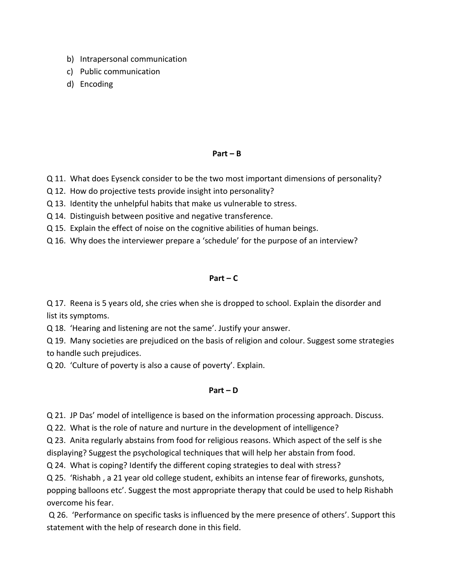- b) Intrapersonal communication
- c) Public communication
- d) Encoding

## $Part - B$

- Q 11. What does Eysenck consider to be the two most important dimensions of personality?
- Q 12. How do projective tests provide insight into personality?
- Q 13. Identity the unhelpful habits that make us vulnerable to stress.
- Q 14. Distinguish between positive and negative transference.
- Q 15. Explain the effect of noise on the cognitive abilities of human beings.
- Q 16. Why does the interviewer prepare a 'schedule' for the purpose of an interview?

# **Part – C**

Q 17. Reena is 5 years old, she cries when she is dropped to school. Explain the disorder and list its symptoms.

Q 18. 'Hearing and listening are not the same'. Justify your answer.

Q 19. Many societies are prejudiced on the basis of religion and colour. Suggest some strategies to handle such prejudices.

Q 20. 'Culture of poverty is also a cause of poverty'. Explain.

# **Part – D**

Q 21. JP Das' model of intelligence is based on the information processing approach. Discuss.

Q 22. What is the role of nature and nurture in the development of intelligence?

Q 23. Anita regularly abstains from food for religious reasons. Which aspect of the self is she displaying? Suggest the psychological techniques that will help her abstain from food.

Q 24. What is coping? Identify the different coping strategies to deal with stress?

Q 25. 'Rishabh , a 21 year old college student, exhibits an intense fear of fireworks, gunshots, popping balloons etc'. Suggest the most appropriate therapy that could be used to help Rishabh overcome his fear.

Q 26. 'Performance on specific tasks is influenced by the mere presence of others'. Support this statement with the help of research done in this field.